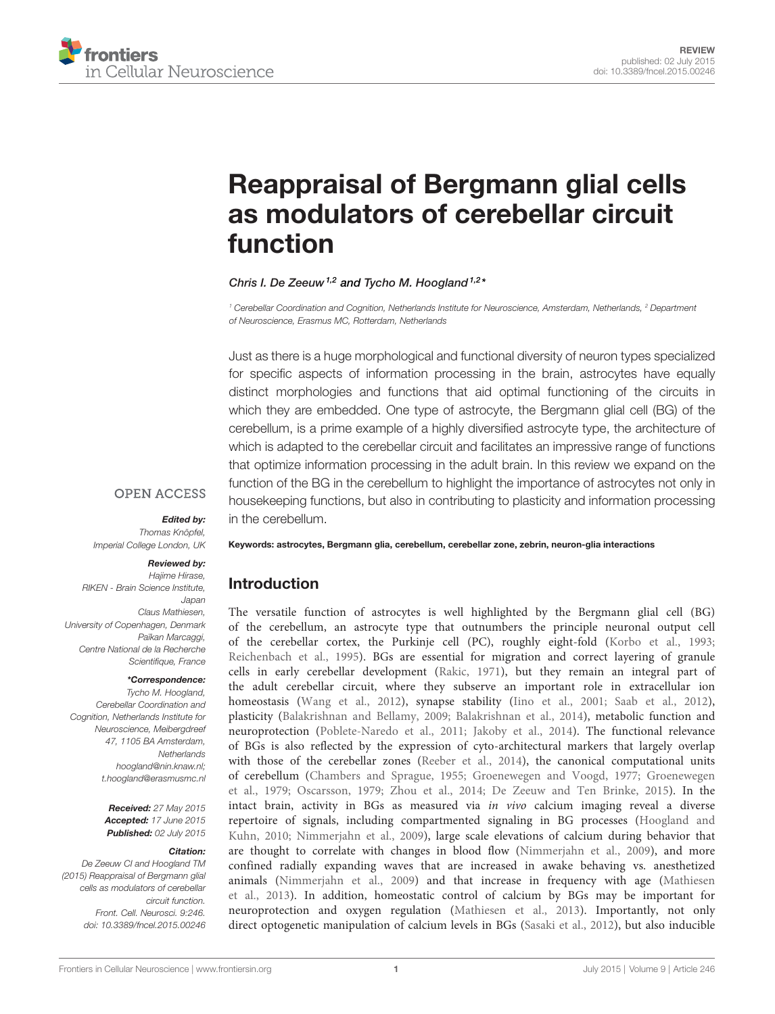

# [Reappraisal of Bergmann glial cells](http://journal.frontiersin.org/article/10.3389/fncel.2015.00246/abstract) [as modulators of cerebellar circuit](http://journal.frontiersin.org/article/10.3389/fncel.2015.00246/abstract) [function](http://journal.frontiersin.org/article/10.3389/fncel.2015.00246/abstract)

#### [Chris I. De Zeeuw](http://loop.frontiersin.org/people/2847)<sup>1,2</sup> and [Tycho M. Hoogland](http://loop.frontiersin.org/people/3960) <sup>1,2</sup>\*

<sup>1</sup> Cerebellar Coordination and Cognition, Netherlands Institute for Neuroscience, Amsterdam, Netherlands, <sup>2</sup> Department of Neuroscience, Erasmus MC, Rotterdam, Netherlands

Just as there is a huge morphological and functional diversity of neuron types specialized for specific aspects of information processing in the brain, astrocytes have equally distinct morphologies and functions that aid optimal functioning of the circuits in which they are embedded. One type of astrocyte, the Bergmann glial cell (BG) of the cerebellum, is a prime example of a highly diversified astrocyte type, the architecture of which is adapted to the cerebellar circuit and facilitates an impressive range of functions that optimize information processing in the adult brain. In this review we expand on the function of the BG in the cerebellum to highlight the importance of astrocytes not only in housekeeping functions, but also in contributing to plasticity and information processing in the cerebellum.

#### **OPEN ACCESS**

#### Edited by:

Thomas Knöpfel, Imperial College London, UK

#### Reviewed by:

Hajime Hirase, RIKEN - Brain Science Institute, Japan Claus Mathiesen, University of Copenhagen, Denmark Païkan Marcaggi, Centre National de la Recherche Scientifique, France

#### \*Correspondence:

Tycho M. Hoogland, Cerebellar Coordination and Cognition, Netherlands Institute for Neuroscience, Meibergdreef 47, 1105 BA Amsterdam, **Netherlands** [hoogland@nin.knaw.nl;](mailto:hoogland@nin.knaw.nl) [t.hoogland@erasmusmc.nl](mailto:t.hoogland@erasmusmc.nl)

> Received: 27 May 2015 Accepted: 17 June 2015 Published: 02 July 2015

#### Citation:

De Zeeuw CI and Hoogland TM (2015) Reappraisal of Bergmann glial cells as modulators of cerebellar circuit function. Front. Cell. Neurosci. 9:246. [doi: 10.3389/fncel.2015.00246](http://dx.doi.org/10.3389/fncel.2015.00246) Keywords: astrocytes, Bergmann glia, cerebellum, cerebellar zone, zebrin, neuron-glia interactions

#### Introduction

The versatile function of astrocytes is well highlighted by the Bergmann glial cell (BG) of the cerebellum, an astrocyte type that outnumbers the principle neuronal output cell of the cerebellar cortex, the Purkinje cell (PC), roughly eight-fold [\(Korbo et al., 1993;](#page-6-0) [Reichenbach et al., 1995\)](#page-7-0). BGs are essential for migration and correct layering of granule cells in early cerebellar development [\(Rakic, 1971\)](#page-7-1), but they remain an integral part of the adult cerebellar circuit, where they subserve an important role in extracellular ion homeostasis [\(Wang et al., 2012\)](#page-7-2), synapse stability [\(Iino et al., 2001;](#page-6-1) [Saab et al., 2012\)](#page-7-3), plasticity [\(Balakrishnan and Bellamy, 2009;](#page-5-0) [Balakrishnan et al., 2014\)](#page-5-1), metabolic function and neuroprotection [\(Poblete-Naredo et al., 2011;](#page-7-4) [Jakoby et al., 2014\)](#page-6-2). The functional relevance of BGs is also reflected by the expression of cyto-architectural markers that largely overlap with those of the cerebellar zones [\(Reeber et al., 2014\)](#page-7-5), the canonical computational units of cerebellum [\(Chambers and Sprague, 1955;](#page-6-3) [Groenewegen and Voogd, 1977;](#page-6-4) [Groenewegen](#page-6-5) [et al., 1979;](#page-6-5) [Oscarsson, 1979;](#page-7-6) [Zhou et al., 2014;](#page-7-7) [De Zeeuw and Ten Brinke, 2015\)](#page-6-6). In the intact brain, activity in BGs as measured via in vivo calcium imaging reveal a diverse repertoire of signals, including compartmented signaling in BG processes [\(Hoogland and](#page-6-7) [Kuhn, 2010;](#page-6-7) [Nimmerjahn et al., 2009\)](#page-7-8), large scale elevations of calcium during behavior that are thought to correlate with changes in blood flow [\(Nimmerjahn et al., 2009\)](#page-7-8), and more confined radially expanding waves that are increased in awake behaving vs. anesthetized animals [\(Nimmerjahn et al., 2009\)](#page-7-8) and that increase in frequency with age [\(Mathiesen](#page-7-9) [et al., 2013\)](#page-7-9). In addition, homeostatic control of calcium by BGs may be important for neuroprotection and oxygen regulation [\(Mathiesen et al., 2013\)](#page-7-9). Importantly, not only direct optogenetic manipulation of calcium levels in BGs [\(Sasaki et al., 2012\)](#page-7-10), but also inducible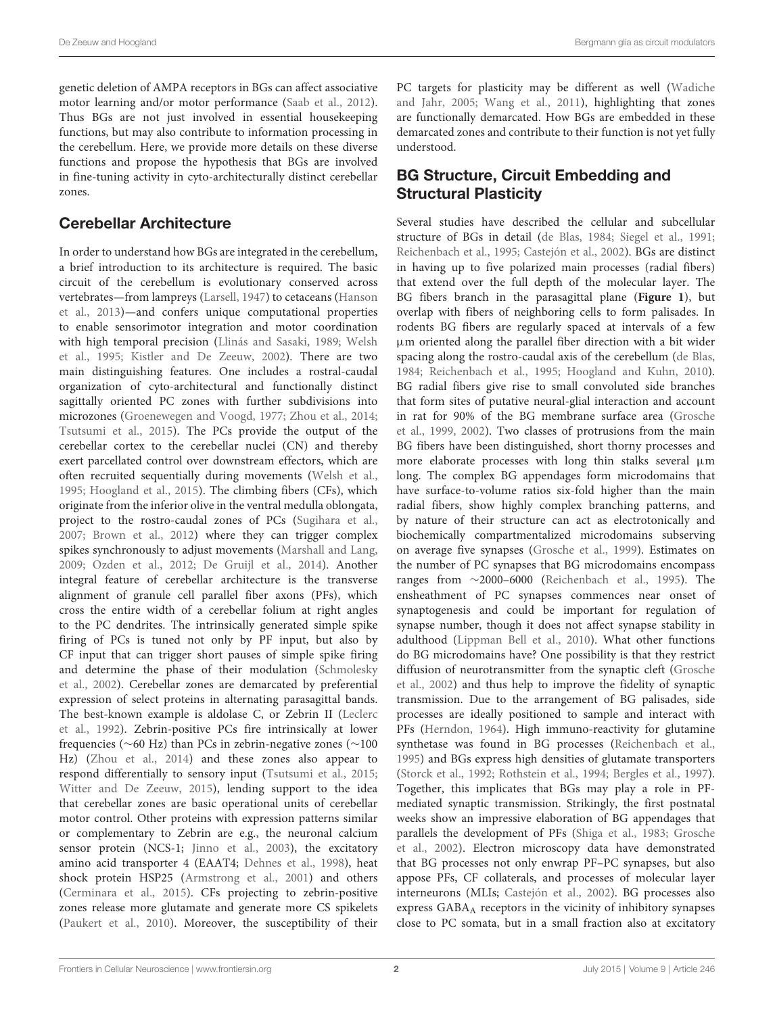genetic deletion of AMPA receptors in BGs can affect associative motor learning and/or motor performance [\(Saab et al.,](#page-7-3) [2012\)](#page-7-3). Thus BGs are not just involved in essential housekeeping functions, but may also contribute to information processing in the cerebellum. Here, we provide more details on these diverse functions and propose the hypothesis that BGs are involved in fine-tuning activity in cyto-architecturally distinct cerebellar zones.

#### Cerebellar Architecture

In order to understand how BGs are integrated in the cerebellum, a brief introduction to its architecture is required. The basic circuit of the cerebellum is evolutionary conserved across vertebrates—from lampreys [\(Larsell,](#page-6-8) [1947\)](#page-6-8) to cetaceans [\(Hanson](#page-6-9) [et al.,](#page-6-9) [2013\)](#page-6-9)—and confers unique computational properties to enable sensorimotor integration and motor coordination with high temporal precision [\(Llinás and Sasaki,](#page-6-10) [1989;](#page-6-10) [Welsh](#page-7-11) [et al.,](#page-7-11) [1995;](#page-7-11) [Kistler and De Zeeuw,](#page-6-11) [2002\)](#page-6-11). There are two main distinguishing features. One includes a rostral-caudal organization of cyto-architectural and functionally distinct sagittally oriented PC zones with further subdivisions into microzones [\(Groenewegen and Voogd,](#page-6-4) [1977;](#page-6-4) [Zhou et al.,](#page-7-7) [2014;](#page-7-7) [Tsutsumi et al.,](#page-7-12) [2015\)](#page-7-12). The PCs provide the output of the cerebellar cortex to the cerebellar nuclei (CN) and thereby exert parcellated control over downstream effectors, which are often recruited sequentially during movements [\(Welsh et al.,](#page-7-11) [1995;](#page-7-11) [Hoogland et al.,](#page-6-12) [2015\)](#page-6-12). The climbing fibers (CFs), which originate from the inferior olive in the ventral medulla oblongata, project to the rostro-caudal zones of PCs [\(Sugihara et al.,](#page-7-13) [2007;](#page-7-13) [Brown et al.,](#page-5-2) [2012\)](#page-5-2) where they can trigger complex spikes synchronously to adjust movements [\(Marshall and Lang,](#page-6-13) [2009;](#page-6-13) [Ozden et al.,](#page-7-14) [2012;](#page-7-14) [De Gruijl et al.,](#page-6-14) [2014\)](#page-6-14). Another integral feature of cerebellar architecture is the transverse alignment of granule cell parallel fiber axons (PFs), which cross the entire width of a cerebellar folium at right angles to the PC dendrites. The intrinsically generated simple spike firing of PCs is tuned not only by PF input, but also by CF input that can trigger short pauses of simple spike firing and determine the phase of their modulation [\(Schmolesky](#page-7-15) [et al.,](#page-7-15) [2002\)](#page-7-15). Cerebellar zones are demarcated by preferential expression of select proteins in alternating parasagittal bands. The best-known example is aldolase C, or Zebrin II [\(Leclerc](#page-6-15) [et al.,](#page-6-15) [1992\)](#page-6-15). Zebrin-positive PCs fire intrinsically at lower frequencies (∼60 Hz) than PCs in zebrin-negative zones (∼100 Hz) [\(Zhou et al.,](#page-7-7) [2014\)](#page-7-7) and these zones also appear to respond differentially to sensory input [\(Tsutsumi et al.,](#page-7-12) [2015;](#page-7-12) [Witter and De Zeeuw,](#page-7-16) [2015\)](#page-7-16), lending support to the idea that cerebellar zones are basic operational units of cerebellar motor control. Other proteins with expression patterns similar or complementary to Zebrin are e.g., the neuronal calcium sensor protein (NCS-1; [Jinno et al.,](#page-6-16) [2003\)](#page-6-16), the excitatory amino acid transporter 4 (EAAT4; [Dehnes et al.,](#page-6-17) [1998\)](#page-6-17), heat shock protein HSP25 [\(Armstrong et al.,](#page-5-3) [2001\)](#page-5-3) and others [\(Cerminara et al.,](#page-5-4) [2015\)](#page-5-4). CFs projecting to zebrin-positive zones release more glutamate and generate more CS spikelets [\(Paukert et al.,](#page-7-17) [2010\)](#page-7-17). Moreover, the susceptibility of their PC targets for plasticity may be different as well [\(Wadiche](#page-7-18) [and Jahr,](#page-7-18) [2005;](#page-7-18) [Wang et al.,](#page-7-19) [2011\)](#page-7-19), highlighting that zones are functionally demarcated. How BGs are embedded in these demarcated zones and contribute to their function is not yet fully understood.

### BG Structure, Circuit Embedding and Structural Plasticity

Several studies have described the cellular and subcellular structure of BGs in detail [\(de Blas,](#page-6-18) [1984;](#page-6-18) [Siegel et al.,](#page-7-20) [1991;](#page-7-20) [Reichenbach et al.,](#page-7-0) [1995;](#page-7-0) [Castejón et al.,](#page-5-5) [2002\)](#page-5-5). BGs are distinct in having up to five polarized main processes (radial fibers) that extend over the full depth of the molecular layer. The BG fibers branch in the parasagittal plane (**[Figure 1](#page-2-0)**), but overlap with fibers of neighboring cells to form palisades. In rodents BG fibers are regularly spaced at intervals of a few µm oriented along the parallel fiber direction with a bit wider spacing along the rostro-caudal axis of the cerebellum [\(de Blas,](#page-6-18) [1984;](#page-6-18) [Reichenbach et al.,](#page-7-0) [1995;](#page-7-0) [Hoogland and Kuhn,](#page-6-7) [2010\)](#page-6-7). BG radial fibers give rise to small convoluted side branches that form sites of putative neural-glial interaction and account in rat for 90% of the BG membrane surface area [\(Grosche](#page-6-19) [et al.,](#page-6-19) [1999,](#page-6-19) [2002\)](#page-6-20). Two classes of protrusions from the main BG fibers have been distinguished, short thorny processes and more elaborate processes with long thin stalks several µm long. The complex BG appendages form microdomains that have surface-to-volume ratios six-fold higher than the main radial fibers, show highly complex branching patterns, and by nature of their structure can act as electrotonically and biochemically compartmentalized microdomains subserving on average five synapses [\(Grosche et al.,](#page-6-19) [1999\)](#page-6-19). Estimates on the number of PC synapses that BG microdomains encompass ranges from ∼2000–6000 [\(Reichenbach et al.,](#page-7-0) [1995\)](#page-7-0). The ensheathment of PC synapses commences near onset of synaptogenesis and could be important for regulation of synapse number, though it does not affect synapse stability in adulthood [\(Lippman Bell et al.,](#page-6-21) [2010\)](#page-6-21). What other functions do BG microdomains have? One possibility is that they restrict diffusion of neurotransmitter from the synaptic cleft [\(Grosche](#page-6-20) [et al.,](#page-6-20) [2002\)](#page-6-20) and thus help to improve the fidelity of synaptic transmission. Due to the arrangement of BG palisades, side processes are ideally positioned to sample and interact with PFs [\(Herndon,](#page-6-22) [1964\)](#page-6-22). High immuno-reactivity for glutamine synthetase was found in BG processes [\(Reichenbach et al.,](#page-7-0) [1995\)](#page-7-0) and BGs express high densities of glutamate transporters [\(Storck et al.,](#page-7-21) [1992;](#page-7-21) [Rothstein et al.,](#page-7-22) [1994;](#page-7-22) [Bergles et al.,](#page-5-6) [1997\)](#page-5-6). Together, this implicates that BGs may play a role in PFmediated synaptic transmission. Strikingly, the first postnatal weeks show an impressive elaboration of BG appendages that parallels the development of PFs [\(Shiga et al.,](#page-7-23) [1983;](#page-7-23) [Grosche](#page-6-20) [et al.,](#page-6-20) [2002\)](#page-6-20). Electron microscopy data have demonstrated that BG processes not only enwrap PF–PC synapses, but also appose PFs, CF collaterals, and processes of molecular layer interneurons (MLIs; [Castejón et al.,](#page-5-5) [2002\)](#page-5-5). BG processes also express GABA<sup>A</sup> receptors in the vicinity of inhibitory synapses close to PC somata, but in a small fraction also at excitatory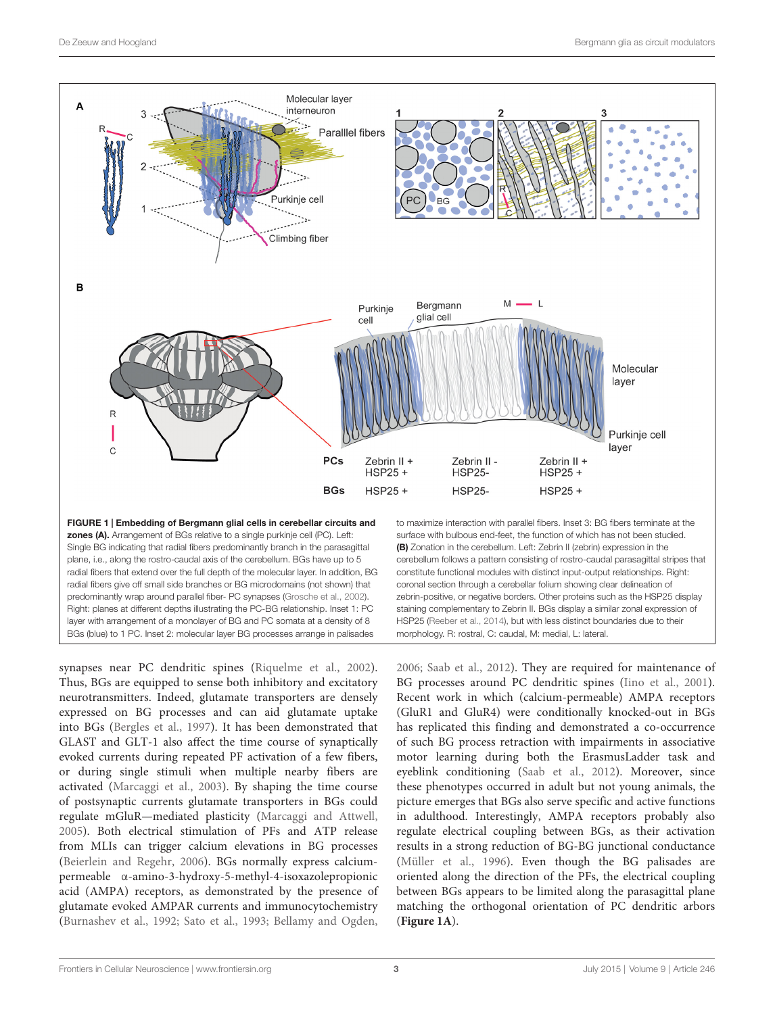

<span id="page-2-0"></span>synapses near PC dendritic spines [\(Riquelme et al.,](#page-7-24) [2002\)](#page-7-24). Thus, BGs are equipped to sense both inhibitory and excitatory neurotransmitters. Indeed, glutamate transporters are densely expressed on BG processes and can aid glutamate uptake into BGs [\(Bergles et al.,](#page-5-6) [1997\)](#page-5-6). It has been demonstrated that GLAST and GLT-1 also affect the time course of synaptically evoked currents during repeated PF activation of a few fibers, or during single stimuli when multiple nearby fibers are activated [\(Marcaggi et al.,](#page-6-23) [2003\)](#page-6-23). By shaping the time course of postsynaptic currents glutamate transporters in BGs could regulate mGluR—mediated plasticity [\(Marcaggi and Attwell,](#page-6-24) [2005\)](#page-6-24). Both electrical stimulation of PFs and ATP release from MLIs can trigger calcium elevations in BG processes [\(Beierlein and Regehr,](#page-5-7) [2006\)](#page-5-7). BGs normally express calciumpermeable α-amino-3-hydroxy-5-methyl-4-isoxazolepropionic acid (AMPA) receptors, as demonstrated by the presence of glutamate evoked AMPAR currents and immunocytochemistry [\(Burnashev et al.,](#page-5-8) [1992;](#page-5-8) [Sato et al.,](#page-7-25) [1993;](#page-7-25) [Bellamy and Ogden,](#page-5-9)

[2006;](#page-5-9) [Saab et al.,](#page-7-3) [2012\)](#page-7-3). They are required for maintenance of BG processes around PC dendritic spines [\(Iino et al.,](#page-6-1) [2001\)](#page-6-1). Recent work in which (calcium-permeable) AMPA receptors (GluR1 and GluR4) were conditionally knocked-out in BGs has replicated this finding and demonstrated a co-occurrence of such BG process retraction with impairments in associative motor learning during both the ErasmusLadder task and eyeblink conditioning [\(Saab et al.,](#page-7-3) [2012\)](#page-7-3). Moreover, since these phenotypes occurred in adult but not young animals, the picture emerges that BGs also serve specific and active functions in adulthood. Interestingly, AMPA receptors probably also regulate electrical coupling between BGs, as their activation results in a strong reduction of BG-BG junctional conductance [\(Müller et al.,](#page-7-26) [1996\)](#page-7-26). Even though the BG palisades are oriented along the direction of the PFs, the electrical coupling between BGs appears to be limited along the parasagittal plane matching the orthogonal orientation of PC dendritic arbors (**[Figure 1A](#page-2-0)**).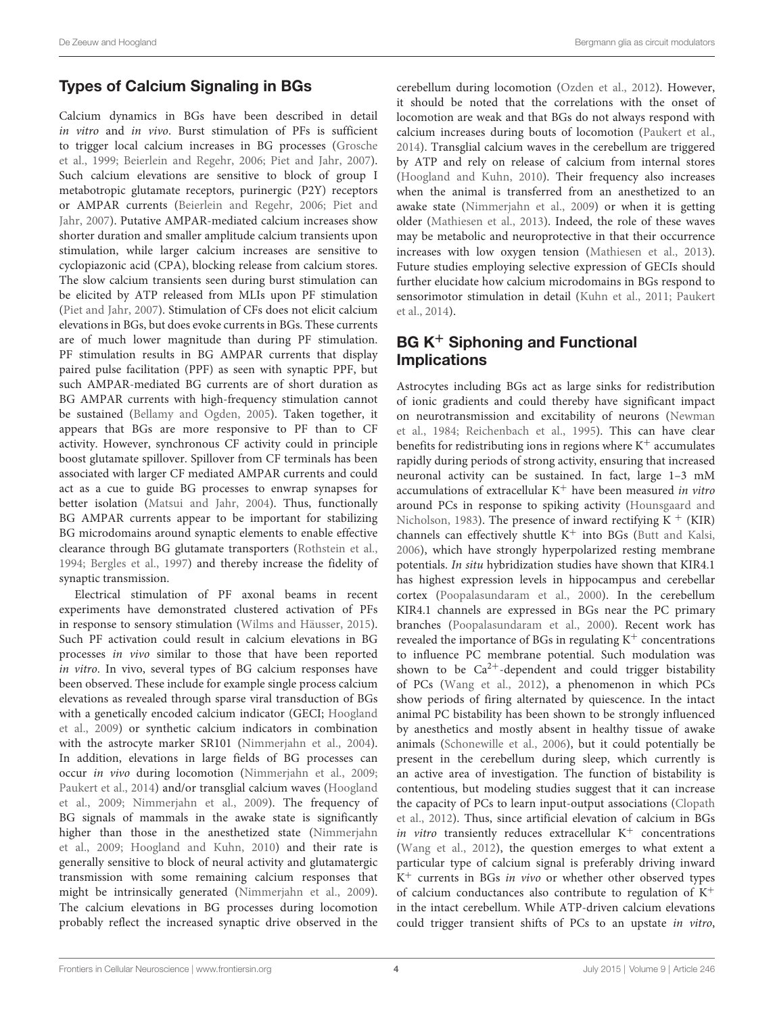# Types of Calcium Signaling in BGs

Calcium dynamics in BGs have been described in detail in vitro and in vivo. Burst stimulation of PFs is sufficient to trigger local calcium increases in BG processes [\(Grosche](#page-6-19) [et al.,](#page-6-19) [1999;](#page-6-19) [Beierlein and Regehr,](#page-5-7) [2006;](#page-5-7) [Piet and Jahr,](#page-7-27) [2007\)](#page-7-27). Such calcium elevations are sensitive to block of group I metabotropic glutamate receptors, purinergic (P2Y) receptors or AMPAR currents [\(Beierlein and Regehr,](#page-5-7) [2006;](#page-5-7) [Piet and](#page-7-27) [Jahr,](#page-7-27) [2007\)](#page-7-27). Putative AMPAR-mediated calcium increases show shorter duration and smaller amplitude calcium transients upon stimulation, while larger calcium increases are sensitive to cyclopiazonic acid (CPA), blocking release from calcium stores. The slow calcium transients seen during burst stimulation can be elicited by ATP released from MLIs upon PF stimulation [\(Piet and Jahr,](#page-7-27) [2007\)](#page-7-27). Stimulation of CFs does not elicit calcium elevations in BGs, but does evoke currents in BGs. These currents are of much lower magnitude than during PF stimulation. PF stimulation results in BG AMPAR currents that display paired pulse facilitation (PPF) as seen with synaptic PPF, but such AMPAR-mediated BG currents are of short duration as BG AMPAR currents with high-frequency stimulation cannot be sustained [\(Bellamy and Ogden,](#page-5-10) [2005\)](#page-5-10). Taken together, it appears that BGs are more responsive to PF than to CF activity. However, synchronous CF activity could in principle boost glutamate spillover. Spillover from CF terminals has been associated with larger CF mediated AMPAR currents and could act as a cue to guide BG processes to enwrap synapses for better isolation [\(Matsui and Jahr,](#page-7-28) [2004\)](#page-7-28). Thus, functionally BG AMPAR currents appear to be important for stabilizing BG microdomains around synaptic elements to enable effective clearance through BG glutamate transporters [\(Rothstein et al.,](#page-7-22) [1994;](#page-7-22) [Bergles et al.,](#page-5-6) [1997\)](#page-5-6) and thereby increase the fidelity of synaptic transmission.

Electrical stimulation of PF axonal beams in recent experiments have demonstrated clustered activation of PFs in response to sensory stimulation [\(Wilms and Häusser,](#page-7-29) [2015\)](#page-7-29). Such PF activation could result in calcium elevations in BG processes in vivo similar to those that have been reported in vitro. In vivo, several types of BG calcium responses have been observed. These include for example single process calcium elevations as revealed through sparse viral transduction of BGs with a genetically encoded calcium indicator (GECI; [Hoogland](#page-6-25) [et al.,](#page-6-25) [2009\)](#page-6-25) or synthetic calcium indicators in combination with the astrocyte marker SR101 [\(Nimmerjahn et al.,](#page-7-30) [2004\)](#page-7-30). In addition, elevations in large fields of BG processes can occur in vivo during locomotion [\(Nimmerjahn et al.,](#page-7-8) [2009;](#page-7-8) [Paukert et al.,](#page-7-31) [2014\)](#page-7-31) and/or transglial calcium waves [\(Hoogland](#page-6-25) [et al.,](#page-6-25) [2009;](#page-6-25) [Nimmerjahn et al.,](#page-7-8) [2009\)](#page-7-8). The frequency of BG signals of mammals in the awake state is significantly higher than those in the anesthetized state [\(Nimmerjahn](#page-7-8) [et al.,](#page-7-8) [2009;](#page-7-8) [Hoogland and Kuhn,](#page-6-7) [2010\)](#page-6-7) and their rate is generally sensitive to block of neural activity and glutamatergic transmission with some remaining calcium responses that might be intrinsically generated [\(Nimmerjahn et al.,](#page-7-8) [2009\)](#page-7-8). The calcium elevations in BG processes during locomotion probably reflect the increased synaptic drive observed in the

cerebellum during locomotion [\(Ozden et al.,](#page-7-14) [2012\)](#page-7-14). However, it should be noted that the correlations with the onset of locomotion are weak and that BGs do not always respond with calcium increases during bouts of locomotion [\(Paukert et al.,](#page-7-31) [2014\)](#page-7-31). Transglial calcium waves in the cerebellum are triggered by ATP and rely on release of calcium from internal stores [\(Hoogland and Kuhn,](#page-6-7) [2010\)](#page-6-7). Their frequency also increases when the animal is transferred from an anesthetized to an awake state [\(Nimmerjahn et al.,](#page-7-8) [2009\)](#page-7-8) or when it is getting older [\(Mathiesen et al.,](#page-7-9) [2013\)](#page-7-9). Indeed, the role of these waves may be metabolic and neuroprotective in that their occurrence increases with low oxygen tension [\(Mathiesen et al.,](#page-7-9) [2013\)](#page-7-9). Future studies employing selective expression of GECIs should further elucidate how calcium microdomains in BGs respond to sensorimotor stimulation in detail [\(Kuhn et al.,](#page-6-26) [2011;](#page-6-26) [Paukert](#page-7-31) [et al.,](#page-7-31) [2014\)](#page-7-31).

# BG K<sup>+</sup> Siphoning and Functional Implications

Astrocytes including BGs act as large sinks for redistribution of ionic gradients and could thereby have significant impact on neurotransmission and excitability of neurons [\(Newman](#page-7-32) [et al.,](#page-7-32) [1984;](#page-7-32) [Reichenbach et al.,](#page-7-0) [1995\)](#page-7-0). This can have clear benefits for redistributing ions in regions where  $K^+$  accumulates rapidly during periods of strong activity, ensuring that increased neuronal activity can be sustained. In fact, large 1–3 mM accumulations of extracellular  $K^+$  have been measured in vitro around PCs in response to spiking activity [\(Hounsgaard and](#page-6-27) [Nicholson,](#page-6-27) [1983\)](#page-6-27). The presence of inward rectifying  $K^+$  (KIR) channels can effectively shuttle  $K^+$  into BGs [\(Butt and Kalsi,](#page-5-11) [2006\)](#page-5-11), which have strongly hyperpolarized resting membrane potentials. In situ hybridization studies have shown that KIR4.1 has highest expression levels in hippocampus and cerebellar cortex [\(Poopalasundaram et al.,](#page-7-33) [2000\)](#page-7-33). In the cerebellum KIR4.1 channels are expressed in BGs near the PC primary branches [\(Poopalasundaram et al.,](#page-7-33) [2000\)](#page-7-33). Recent work has revealed the importance of BGs in regulating  $K^+$  concentrations to influence PC membrane potential. Such modulation was shown to be  $Ca^{2+}$ -dependent and could trigger bistability of PCs [\(Wang et al.,](#page-7-2) [2012\)](#page-7-2), a phenomenon in which PCs show periods of firing alternated by quiescence. In the intact animal PC bistability has been shown to be strongly influenced by anesthetics and mostly absent in healthy tissue of awake animals [\(Schonewille et al.,](#page-7-34) [2006\)](#page-7-34), but it could potentially be present in the cerebellum during sleep, which currently is an active area of investigation. The function of bistability is contentious, but modeling studies suggest that it can increase the capacity of PCs to learn input-output associations [\(Clopath](#page-6-28) [et al.,](#page-6-28) [2012\)](#page-6-28). Thus, since artificial elevation of calcium in BGs *in vitro* transiently reduces extracellular  $K^+$  concentrations [\(Wang et al.,](#page-7-2) [2012\)](#page-7-2), the question emerges to what extent a particular type of calcium signal is preferably driving inward K<sup>+</sup> currents in BGs in vivo or whether other observed types of calcium conductances also contribute to regulation of  $K^+$ in the intact cerebellum. While ATP-driven calcium elevations could trigger transient shifts of PCs to an upstate in vitro,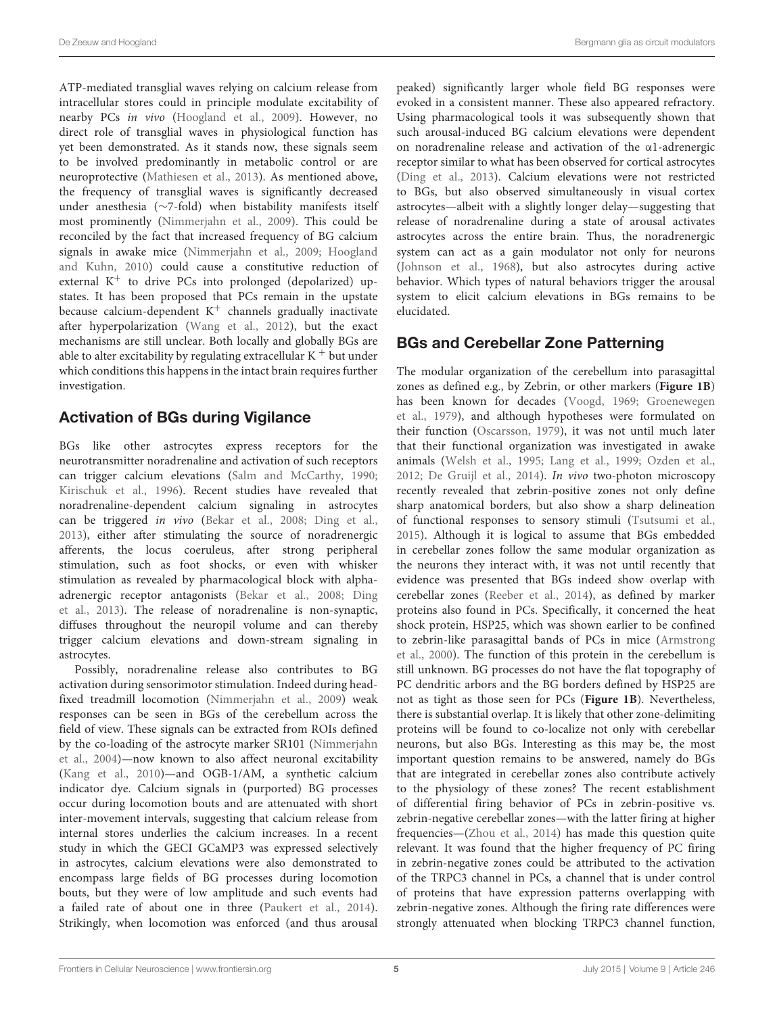ATP-mediated transglial waves relying on calcium release from intracellular stores could in principle modulate excitability of nearby PCs in vivo [\(Hoogland et al.,](#page-6-25) [2009\)](#page-6-25). However, no direct role of transglial waves in physiological function has yet been demonstrated. As it stands now, these signals seem to be involved predominantly in metabolic control or are neuroprotective [\(Mathiesen et al.,](#page-7-9) [2013\)](#page-7-9). As mentioned above, the frequency of transglial waves is significantly decreased under anesthesia (∼7-fold) when bistability manifests itself most prominently [\(Nimmerjahn et al.,](#page-7-8) [2009\)](#page-7-8). This could be reconciled by the fact that increased frequency of BG calcium signals in awake mice [\(Nimmerjahn et al.,](#page-7-8) [2009;](#page-7-8) [Hoogland](#page-6-7) [and Kuhn,](#page-6-7) [2010\)](#page-6-7) could cause a constitutive reduction of external  $K^+$  to drive PCs into prolonged (depolarized) upstates. It has been proposed that PCs remain in the upstate because calcium-dependent  $K^+$  channels gradually inactivate after hyperpolarization [\(Wang et al.,](#page-7-2) [2012\)](#page-7-2), but the exact mechanisms are still unclear. Both locally and globally BGs are able to alter excitability by regulating extracellular  $K^+$  but under which conditions this happens in the intact brain requires further investigation.

# Activation of BGs during Vigilance

BGs like other astrocytes express receptors for the neurotransmitter noradrenaline and activation of such receptors can trigger calcium elevations [\(Salm and McCarthy,](#page-7-35) [1990;](#page-7-35) [Kirischuk et al.,](#page-6-29) [1996\)](#page-6-29). Recent studies have revealed that noradrenaline-dependent calcium signaling in astrocytes can be triggered in vivo [\(Bekar et al.,](#page-5-12) [2008;](#page-5-12) [Ding et al.,](#page-6-30) [2013\)](#page-6-30), either after stimulating the source of noradrenergic afferents, the locus coeruleus, after strong peripheral stimulation, such as foot shocks, or even with whisker stimulation as revealed by pharmacological block with alphaadrenergic receptor antagonists [\(Bekar et al.,](#page-5-12) [2008;](#page-5-12) [Ding](#page-6-30) [et al.,](#page-6-30) [2013\)](#page-6-30). The release of noradrenaline is non-synaptic, diffuses throughout the neuropil volume and can thereby trigger calcium elevations and down-stream signaling in astrocytes.

Possibly, noradrenaline release also contributes to BG activation during sensorimotor stimulation. Indeed during headfixed treadmill locomotion [\(Nimmerjahn et al.,](#page-7-8) [2009\)](#page-7-8) weak responses can be seen in BGs of the cerebellum across the field of view. These signals can be extracted from ROIs defined by the co-loading of the astrocyte marker SR101 [\(Nimmerjahn](#page-7-30) [et al.,](#page-7-30) [2004\)](#page-7-30)—now known to also affect neuronal excitability [\(Kang et al.,](#page-6-31) [2010\)](#page-6-31)—and OGB-1/AM, a synthetic calcium indicator dye. Calcium signals in (purported) BG processes occur during locomotion bouts and are attenuated with short inter-movement intervals, suggesting that calcium release from internal stores underlies the calcium increases. In a recent study in which the GECI GCaMP3 was expressed selectively in astrocytes, calcium elevations were also demonstrated to encompass large fields of BG processes during locomotion bouts, but they were of low amplitude and such events had a failed rate of about one in three [\(Paukert et al.,](#page-7-31) [2014\)](#page-7-31). Strikingly, when locomotion was enforced (and thus arousal peaked) significantly larger whole field BG responses were evoked in a consistent manner. These also appeared refractory. Using pharmacological tools it was subsequently shown that such arousal-induced BG calcium elevations were dependent on noradrenaline release and activation of the α1-adrenergic receptor similar to what has been observed for cortical astrocytes [\(Ding et al.,](#page-6-30) [2013\)](#page-6-30). Calcium elevations were not restricted to BGs, but also observed simultaneously in visual cortex astrocytes—albeit with a slightly longer delay—suggesting that release of noradrenaline during a state of arousal activates astrocytes across the entire brain. Thus, the noradrenergic system can act as a gain modulator not only for neurons [\(Johnson et al.,](#page-6-32) [1968\)](#page-6-32), but also astrocytes during active behavior. Which types of natural behaviors trigger the arousal system to elicit calcium elevations in BGs remains to be elucidated.

# BGs and Cerebellar Zone Patterning

The modular organization of the cerebellum into parasagittal zones as defined e.g., by Zebrin, or other markers (**[Figure 1B](#page-2-0)**) has been known for decades [\(Voogd,](#page-7-36) [1969;](#page-7-36) [Groenewegen](#page-6-5) [et al.,](#page-6-5) [1979\)](#page-6-5), and although hypotheses were formulated on their function [\(Oscarsson,](#page-7-6) [1979\)](#page-7-6), it was not until much later that their functional organization was investigated in awake animals [\(Welsh et al.,](#page-7-11) [1995;](#page-7-11) [Lang et al.,](#page-6-33) [1999;](#page-6-33) [Ozden et al.,](#page-7-14) [2012;](#page-7-14) [De Gruijl et al.,](#page-6-14) [2014\)](#page-6-14). In vivo two-photon microscopy recently revealed that zebrin-positive zones not only define sharp anatomical borders, but also show a sharp delineation of functional responses to sensory stimuli [\(Tsutsumi et al.,](#page-7-12) [2015\)](#page-7-12). Although it is logical to assume that BGs embedded in cerebellar zones follow the same modular organization as the neurons they interact with, it was not until recently that evidence was presented that BGs indeed show overlap with cerebellar zones [\(Reeber et al.,](#page-7-5) [2014\)](#page-7-5), as defined by marker proteins also found in PCs. Specifically, it concerned the heat shock protein, HSP25, which was shown earlier to be confined to zebrin-like parasagittal bands of PCs in mice [\(Armstrong](#page-5-13) [et al.,](#page-5-13) [2000\)](#page-5-13). The function of this protein in the cerebellum is still unknown. BG processes do not have the flat topography of PC dendritic arbors and the BG borders defined by HSP25 are not as tight as those seen for PCs (**[Figure 1B](#page-2-0)**). Nevertheless, there is substantial overlap. It is likely that other zone-delimiting proteins will be found to co-localize not only with cerebellar neurons, but also BGs. Interesting as this may be, the most important question remains to be answered, namely do BGs that are integrated in cerebellar zones also contribute actively to the physiology of these zones? The recent establishment of differential firing behavior of PCs in zebrin-positive vs. zebrin-negative cerebellar zones—with the latter firing at higher frequencies—[\(Zhou et al.,](#page-7-7) [2014\)](#page-7-7) has made this question quite relevant. It was found that the higher frequency of PC firing in zebrin-negative zones could be attributed to the activation of the TRPC3 channel in PCs, a channel that is under control of proteins that have expression patterns overlapping with zebrin-negative zones. Although the firing rate differences were strongly attenuated when blocking TRPC3 channel function,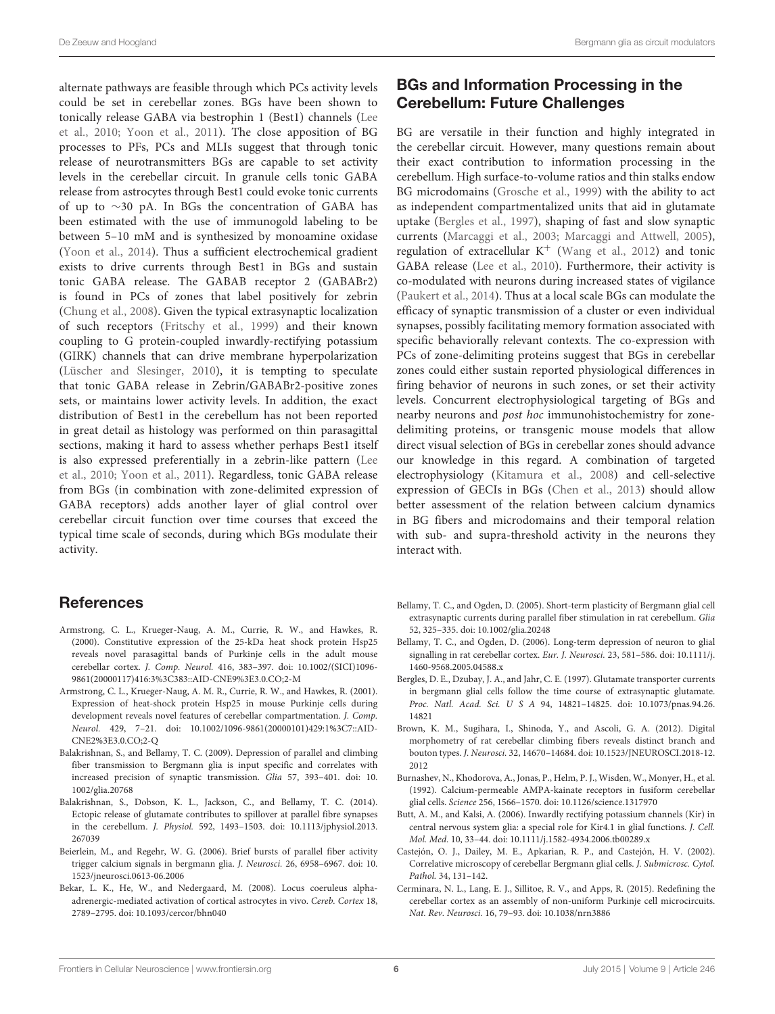alternate pathways are feasible through which PCs activity levels could be set in cerebellar zones. BGs have been shown to tonically release GABA via bestrophin 1 (Best1) channels [\(Lee](#page-6-34) [et al.,](#page-6-34) [2010;](#page-6-34) [Yoon et al.,](#page-7-37) [2011\)](#page-7-37). The close apposition of BG processes to PFs, PCs and MLIs suggest that through tonic release of neurotransmitters BGs are capable to set activity levels in the cerebellar circuit. In granule cells tonic GABA release from astrocytes through Best1 could evoke tonic currents of up to ∼30 pA. In BGs the concentration of GABA has been estimated with the use of immunogold labeling to be between 5–10 mM and is synthesized by monoamine oxidase [\(Yoon et al.,](#page-7-38) [2014\)](#page-7-38). Thus a sufficient electrochemical gradient exists to drive currents through Best1 in BGs and sustain tonic GABA release. The GABAB receptor 2 (GABABr2) is found in PCs of zones that label positively for zebrin [\(Chung et al.,](#page-6-35) [2008\)](#page-6-35). Given the typical extrasynaptic localization of such receptors [\(Fritschy et al.,](#page-6-36) [1999\)](#page-6-36) and their known coupling to G protein-coupled inwardly-rectifying potassium (GIRK) channels that can drive membrane hyperpolarization [\(Lüscher and Slesinger,](#page-6-37) [2010\)](#page-6-37), it is tempting to speculate that tonic GABA release in Zebrin/GABABr2-positive zones sets, or maintains lower activity levels. In addition, the exact distribution of Best1 in the cerebellum has not been reported in great detail as histology was performed on thin parasagittal sections, making it hard to assess whether perhaps Best1 itself is also expressed preferentially in a zebrin-like pattern [\(Lee](#page-6-34) [et al.,](#page-6-34) [2010;](#page-6-34) [Yoon et al.,](#page-7-37) [2011\)](#page-7-37). Regardless, tonic GABA release from BGs (in combination with zone-delimited expression of GABA receptors) adds another layer of glial control over cerebellar circuit function over time courses that exceed the typical time scale of seconds, during which BGs modulate their activity.

#### **References**

- <span id="page-5-13"></span>Armstrong, C. L., Krueger-Naug, A. M., Currie, R. W., and Hawkes, R. (2000). Constitutive expression of the 25-kDa heat shock protein Hsp25 reveals novel parasagittal bands of Purkinje cells in the adult mouse cerebellar cortex. J. Comp. Neurol. 416, 383–397. doi: 10.1002/(SICI)1096- 9861(20000117)416:3%3C383::AID-CNE9%3E3.0.CO;2-M
- <span id="page-5-3"></span>Armstrong, C. L., Krueger-Naug, A. M. R., Currie, R. W., and Hawkes, R. (2001). Expression of heat-shock protein Hsp25 in mouse Purkinje cells during development reveals novel features of cerebellar compartmentation. J. Comp. Neurol. 429, 7–21. doi: 10.1002/1096-9861(20000101)429:1%3C7::AID-CNE2%3E3.0.CO;2-Q
- <span id="page-5-0"></span>Balakrishnan, S., and Bellamy, T. C. (2009). Depression of parallel and climbing fiber transmission to Bergmann glia is input specific and correlates with increased precision of synaptic transmission. Glia 57, 393–401. doi: 10. 1002/glia.20768
- <span id="page-5-1"></span>Balakrishnan, S., Dobson, K. L., Jackson, C., and Bellamy, T. C. (2014). Ectopic release of glutamate contributes to spillover at parallel fibre synapses in the cerebellum. J. Physiol. 592, 1493–1503. doi: 10.1113/jphysiol.2013. 267039
- <span id="page-5-7"></span>Beierlein, M., and Regehr, W. G. (2006). Brief bursts of parallel fiber activity trigger calcium signals in bergmann glia. J. Neurosci. 26, 6958–6967. doi: 10. 1523/jneurosci.0613-06.2006
- <span id="page-5-12"></span>Bekar, L. K., He, W., and Nedergaard, M. (2008). Locus coeruleus alphaadrenergic-mediated activation of cortical astrocytes in vivo. Cereb. Cortex 18, 2789–2795. doi: 10.1093/cercor/bhn040

### BGs and Information Processing in the Cerebellum: Future Challenges

BG are versatile in their function and highly integrated in the cerebellar circuit. However, many questions remain about their exact contribution to information processing in the cerebellum. High surface-to-volume ratios and thin stalks endow BG microdomains [\(Grosche et al.,](#page-6-19) [1999\)](#page-6-19) with the ability to act as independent compartmentalized units that aid in glutamate uptake [\(Bergles et al.,](#page-5-6) [1997\)](#page-5-6), shaping of fast and slow synaptic currents [\(Marcaggi et al.,](#page-6-23) [2003;](#page-6-23) [Marcaggi and Attwell,](#page-6-24) [2005\)](#page-6-24), regulation of extracellular  $K^+$  [\(Wang et al.,](#page-7-2) [2012\)](#page-7-2) and tonic GABA release [\(Lee et al.,](#page-6-34) [2010\)](#page-6-34). Furthermore, their activity is co-modulated with neurons during increased states of vigilance [\(Paukert et al.,](#page-7-31) [2014\)](#page-7-31). Thus at a local scale BGs can modulate the efficacy of synaptic transmission of a cluster or even individual synapses, possibly facilitating memory formation associated with specific behaviorally relevant contexts. The co-expression with PCs of zone-delimiting proteins suggest that BGs in cerebellar zones could either sustain reported physiological differences in firing behavior of neurons in such zones, or set their activity levels. Concurrent electrophysiological targeting of BGs and nearby neurons and post hoc immunohistochemistry for zonedelimiting proteins, or transgenic mouse models that allow direct visual selection of BGs in cerebellar zones should advance our knowledge in this regard. A combination of targeted electrophysiology [\(Kitamura et al.,](#page-6-38) [2008\)](#page-6-38) and cell-selective expression of GECIs in BGs [\(Chen et al.,](#page-6-39) [2013\)](#page-6-39) should allow better assessment of the relation between calcium dynamics in BG fibers and microdomains and their temporal relation with sub- and supra-threshold activity in the neurons they interact with.

- <span id="page-5-10"></span>Bellamy, T. C., and Ogden, D. (2005). Short-term plasticity of Bergmann glial cell extrasynaptic currents during parallel fiber stimulation in rat cerebellum. Glia 52, 325–335. doi: 10.1002/glia.20248
- <span id="page-5-9"></span>Bellamy, T. C., and Ogden, D. (2006). Long-term depression of neuron to glial signalling in rat cerebellar cortex. Eur. J. Neurosci. 23, 581–586. doi: 10.1111/j. 1460-9568.2005.04588.x
- <span id="page-5-6"></span>Bergles, D. E., Dzubay, J. A., and Jahr, C. E. (1997). Glutamate transporter currents in bergmann glial cells follow the time course of extrasynaptic glutamate. Proc. Natl. Acad. Sci. U S A 94, 14821–14825. doi: 10.1073/pnas.94.26. 14821
- <span id="page-5-2"></span>Brown, K. M., Sugihara, I., Shinoda, Y., and Ascoli, G. A. (2012). Digital morphometry of rat cerebellar climbing fibers reveals distinct branch and bouton types. J. Neurosci. 32, 14670–14684. doi: 10.1523/JNEUROSCI.2018-12. 2012
- <span id="page-5-8"></span>Burnashev, N., Khodorova, A., Jonas, P., Helm, P. J., Wisden, W., Monyer, H., et al. (1992). Calcium-permeable AMPA-kainate receptors in fusiform cerebellar glial cells. Science 256, 1566–1570. doi: 10.1126/science.1317970
- <span id="page-5-11"></span>Butt, A. M., and Kalsi, A. (2006). Inwardly rectifying potassium channels (Kir) in central nervous system glia: a special role for Kir4.1 in glial functions. J. Cell. Mol. Med. 10, 33–44. doi: 10.1111/j.1582-4934.2006.tb00289.x
- <span id="page-5-5"></span>Castejón, O. J., Dailey, M. E., Apkarian, R. P., and Castejón, H. V. (2002). Correlative microscopy of cerebellar Bergmann glial cells. J. Submicrosc. Cytol. Pathol. 34, 131–142.
- <span id="page-5-4"></span>Cerminara, N. L., Lang, E. J., Sillitoe, R. V., and Apps, R. (2015). Redefining the cerebellar cortex as an assembly of non-uniform Purkinje cell microcircuits. Nat. Rev. Neurosci. 16, 79–93. doi: 10.1038/nrn3886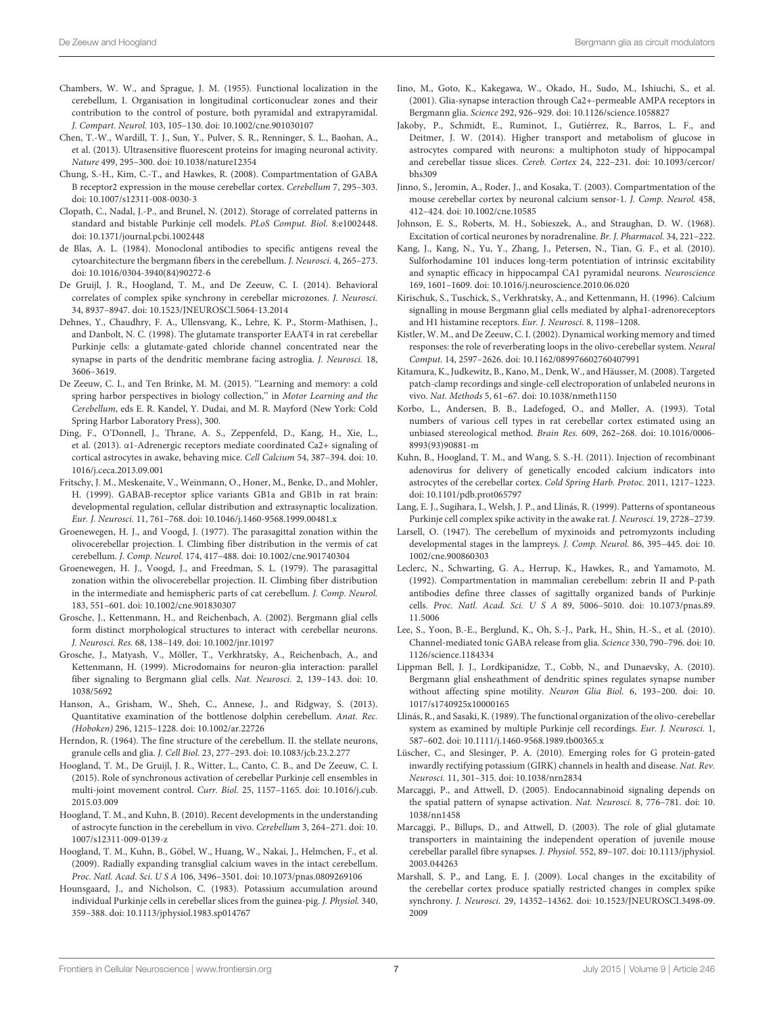- <span id="page-6-3"></span>Chambers, W. W., and Sprague, J. M. (1955). Functional localization in the cerebellum, I. Organisation in longitudinal corticonuclear zones and their contribution to the control of posture, both pyramidal and extrapyramidal. J. Compart. Neurol. 103, 105–130. doi: 10.1002/cne.901030107
- <span id="page-6-39"></span>Chen, T.-W., Wardill, T. J., Sun, Y., Pulver, S. R., Renninger, S. L., Baohan, A., et al. (2013). Ultrasensitive fluorescent proteins for imaging neuronal activity. Nature 499, 295–300. doi: 10.1038/nature12354
- <span id="page-6-35"></span>Chung, S.-H., Kim, C.-T., and Hawkes, R. (2008). Compartmentation of GABA B receptor2 expression in the mouse cerebellar cortex. Cerebellum 7, 295–303. doi: 10.1007/s12311-008-0030-3
- <span id="page-6-28"></span>Clopath, C., Nadal, J.-P., and Brunel, N. (2012). Storage of correlated patterns in standard and bistable Purkinje cell models. PLoS Comput. Biol. 8:e1002448. doi: 10.1371/journal.pcbi.1002448
- <span id="page-6-18"></span>de Blas, A. L. (1984). Monoclonal antibodies to specific antigens reveal the cytoarchitecture the bergmann fibers in the cerebellum. J. Neurosci. 4, 265–273. doi: 10.1016/0304-3940(84)90272-6
- <span id="page-6-14"></span>De Gruijl, J. R., Hoogland, T. M., and De Zeeuw, C. I. (2014). Behavioral correlates of complex spike synchrony in cerebellar microzones. J. Neurosci. 34, 8937–8947. doi: 10.1523/JNEUROSCI.5064-13.2014
- <span id="page-6-17"></span>Dehnes, Y., Chaudhry, F. A., Ullensvang, K., Lehre, K. P., Storm-Mathisen, J., and Danbolt, N. C. (1998). The glutamate transporter EAAT4 in rat cerebellar Purkinje cells: a glutamate-gated chloride channel concentrated near the synapse in parts of the dendritic membrane facing astroglia. J. Neurosci. 18, 3606–3619.
- <span id="page-6-6"></span>De Zeeuw, C. I., and Ten Brinke, M. M. (2015). ''Learning and memory: a cold spring harbor perspectives in biology collection," in Motor Learning and the Cerebellum, eds E. R. Kandel, Y. Dudai, and M. R. Mayford (New York: Cold Spring Harbor Laboratory Press), 300.
- <span id="page-6-30"></span>Ding, F., O'Donnell, J., Thrane, A. S., Zeppenfeld, D., Kang, H., Xie, L., et al. (2013). α1-Adrenergic receptors mediate coordinated Ca2+ signaling of cortical astrocytes in awake, behaving mice. Cell Calcium 54, 387–394. doi: 10. 1016/j.ceca.2013.09.001
- <span id="page-6-36"></span>Fritschy, J. M., Meskenaite, V., Weinmann, O., Honer, M., Benke, D., and Mohler, H. (1999). GABAB-receptor splice variants GB1a and GB1b in rat brain: developmental regulation, cellular distribution and extrasynaptic localization. Eur. J. Neurosci. 11, 761–768. doi: 10.1046/j.1460-9568.1999.00481.x
- <span id="page-6-4"></span>Groenewegen, H. J., and Voogd, J. (1977). The parasagittal zonation within the olivocerebellar projection. I. Climbing fiber distribution in the vermis of cat cerebellum. J. Comp. Neurol. 174, 417–488. doi: 10.1002/cne.901740304
- <span id="page-6-5"></span>Groenewegen, H. J., Voogd, J., and Freedman, S. L. (1979). The parasagittal zonation within the olivocerebellar projection. II. Climbing fiber distribution in the intermediate and hemispheric parts of cat cerebellum. J. Comp. Neurol. 183, 551–601. doi: 10.1002/cne.901830307
- <span id="page-6-20"></span>Grosche, J., Kettenmann, H., and Reichenbach, A. (2002). Bergmann glial cells form distinct morphological structures to interact with cerebellar neurons. J. Neurosci. Res. 68, 138–149. doi: 10.1002/jnr.10197
- <span id="page-6-19"></span>Grosche, J., Matyash, V., Möller, T., Verkhratsky, A., Reichenbach, A., and Kettenmann, H. (1999). Microdomains for neuron-glia interaction: parallel fiber signaling to Bergmann glial cells. Nat. Neurosci. 2, 139–143. doi: 10. 1038/5692
- <span id="page-6-9"></span>Hanson, A., Grisham, W., Sheh, C., Annese, J., and Ridgway, S. (2013). Quantitative examination of the bottlenose dolphin cerebellum. Anat. Rec. (Hoboken) 296, 1215–1228. doi: 10.1002/ar.22726
- <span id="page-6-22"></span>Herndon, R. (1964). The fine structure of the cerebellum. II. the stellate neurons, granule cells and glia. J. Cell Biol. 23, 277–293. doi: 10.1083/jcb.23.2.277
- <span id="page-6-12"></span>Hoogland, T. M., De Gruijl, J. R., Witter, L., Canto, C. B., and De Zeeuw, C. I. (2015). Role of synchronous activation of cerebellar Purkinje cell ensembles in multi-joint movement control. Curr. Biol. 25, 1157–1165. doi: 10.1016/j.cub. 2015.03.009
- <span id="page-6-7"></span>Hoogland, T. M., and Kuhn, B. (2010). Recent developments in the understanding of astrocyte function in the cerebellum in vivo. Cerebellum 3, 264–271. doi: 10. 1007/s12311-009-0139-z
- <span id="page-6-25"></span>Hoogland, T. M., Kuhn, B., Göbel, W., Huang, W., Nakai, J., Helmchen, F., et al. (2009). Radially expanding transglial calcium waves in the intact cerebellum. Proc. Natl. Acad. Sci. U S A 106, 3496–3501. doi: 10.1073/pnas.0809269106
- <span id="page-6-27"></span>Hounsgaard, J., and Nicholson, C. (1983). Potassium accumulation around individual Purkinje cells in cerebellar slices from the guinea-pig. J. Physiol. 340, 359–388. doi: 10.1113/jphysiol.1983.sp014767
- <span id="page-6-1"></span>Iino, M., Goto, K., Kakegawa, W., Okado, H., Sudo, M., Ishiuchi, S., et al. (2001). Glia-synapse interaction through Ca2+-permeable AMPA receptors in Bergmann glia. Science 292, 926–929. doi: 10.1126/science.1058827
- <span id="page-6-2"></span>Jakoby, P., Schmidt, E., Ruminot, I., Gutiérrez, R., Barros, L. F., and Deitmer, J. W. (2014). Higher transport and metabolism of glucose in astrocytes compared with neurons: a multiphoton study of hippocampal and cerebellar tissue slices. Cereb. Cortex 24, 222–231. doi: 10.1093/cercor/ bhs309
- <span id="page-6-16"></span>Jinno, S., Jeromin, A., Roder, J., and Kosaka, T. (2003). Compartmentation of the mouse cerebellar cortex by neuronal calcium sensor-1. J. Comp. Neurol. 458, 412–424. doi: 10.1002/cne.10585
- <span id="page-6-32"></span>Johnson, E. S., Roberts, M. H., Sobieszek, A., and Straughan, D. W. (1968). Excitation of cortical neurones by noradrenaline. Br. J. Pharmacol. 34, 221–222.
- <span id="page-6-31"></span>Kang, J., Kang, N., Yu, Y., Zhang, J., Petersen, N., Tian, G. F., et al. (2010). Sulforhodamine 101 induces long-term potentiation of intrinsic excitability and synaptic efficacy in hippocampal CA1 pyramidal neurons. Neuroscience 169, 1601–1609. doi: 10.1016/j.neuroscience.2010.06.020
- <span id="page-6-29"></span>Kirischuk, S., Tuschick, S., Verkhratsky, A., and Kettenmann, H. (1996). Calcium signalling in mouse Bergmann glial cells mediated by alpha1-adrenoreceptors and H1 histamine receptors. Eur. J. Neurosci. 8, 1198–1208.
- <span id="page-6-11"></span>Kistler, W. M., and De Zeeuw, C. I. (2002). Dynamical working memory and timed responses: the role of reverberating loops in the olivo-cerebellar system. Neural Comput. 14, 2597–2626. doi: 10.1162/089976602760407991
- <span id="page-6-38"></span>Kitamura, K., Judkewitz, B., Kano, M., Denk, W., and Häusser, M. (2008). Targeted patch-clamp recordings and single-cell electroporation of unlabeled neurons in vivo. Nat. Methods 5, 61–67. doi: 10.1038/nmeth1150
- <span id="page-6-0"></span>Korbo, L., Andersen, B. B., Ladefoged, O., and Møller, A. (1993). Total numbers of various cell types in rat cerebellar cortex estimated using an unbiased stereological method. Brain Res. 609, 262–268. doi: 10.1016/0006- 8993(93)90881-m
- <span id="page-6-26"></span>Kuhn, B., Hoogland, T. M., and Wang, S. S.-H. (2011). Injection of recombinant adenovirus for delivery of genetically encoded calcium indicators into astrocytes of the cerebellar cortex. Cold Spring Harb. Protoc. 2011, 1217–1223. doi: 10.1101/pdb.prot065797
- <span id="page-6-33"></span>Lang, E. J., Sugihara, I., Welsh, J. P., and Llinás, R. (1999). Patterns of spontaneous Purkinje cell complex spike activity in the awake rat. J. Neurosci. 19, 2728–2739.
- <span id="page-6-8"></span>Larsell, O. (1947). The cerebellum of myxinoids and petromyzonts including developmental stages in the lampreys. J. Comp. Neurol. 86, 395–445. doi: 10. 1002/cne.900860303
- <span id="page-6-15"></span>Leclerc, N., Schwarting, G. A., Herrup, K., Hawkes, R., and Yamamoto, M. (1992). Compartmentation in mammalian cerebellum: zebrin II and P-path antibodies define three classes of sagittally organized bands of Purkinje cells. Proc. Natl. Acad. Sci. U S A 89, 5006–5010. doi: 10.1073/pnas.89. 11.5006
- <span id="page-6-34"></span>Lee, S., Yoon, B.-E., Berglund, K., Oh, S.-J., Park, H., Shin, H.-S., et al. (2010). Channel-mediated tonic GABA release from glia. Science 330, 790–796. doi: 10. 1126/science.1184334
- <span id="page-6-21"></span>Lippman Bell, J. J., Lordkipanidze, T., Cobb, N., and Dunaevsky, A. (2010). Bergmann glial ensheathment of dendritic spines regulates synapse number without affecting spine motility. Neuron Glia Biol. 6, 193–200. doi: 10. 1017/s1740925x10000165
- <span id="page-6-10"></span>Llinás, R., and Sasaki, K. (1989). The functional organization of the olivo-cerebellar system as examined by multiple Purkinje cell recordings. Eur. J. Neurosci. 1, 587–602. doi: 10.1111/j.1460-9568.1989.tb00365.x
- <span id="page-6-37"></span>Lüscher, C., and Slesinger, P. A. (2010). Emerging roles for G protein-gated inwardly rectifying potassium (GIRK) channels in health and disease. Nat. Rev. Neurosci. 11, 301–315. doi: 10.1038/nrn2834
- <span id="page-6-24"></span>Marcaggi, P., and Attwell, D. (2005). Endocannabinoid signaling depends on the spatial pattern of synapse activation. Nat. Neurosci. 8, 776–781. doi: 10. 1038/nn1458
- <span id="page-6-23"></span>Marcaggi, P., Billups, D., and Attwell, D. (2003). The role of glial glutamate transporters in maintaining the independent operation of juvenile mouse cerebellar parallel fibre synapses. J. Physiol. 552, 89–107. doi: 10.1113/jphysiol. 2003.044263
- <span id="page-6-13"></span>Marshall, S. P., and Lang, E. J. (2009). Local changes in the excitability of the cerebellar cortex produce spatially restricted changes in complex spike synchrony. J. Neurosci. 29, 14352–14362. doi: 10.1523/JNEUROSCI.3498-09. 2009